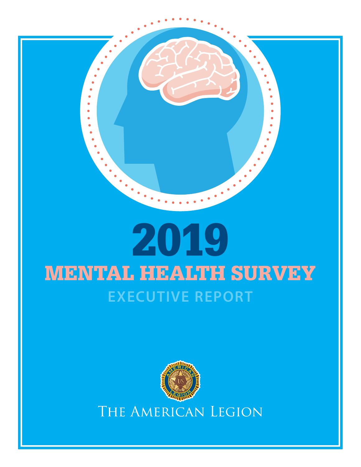

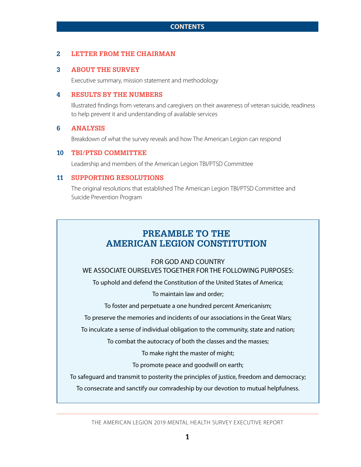#### **2 LETTER FROM THE CHAIRMAN**

#### **3 ABOUT THE SURVEY**

Executive summary, mission statement and methodology

#### **4 RESULTS BY THE NUMBERS**

Illustrated findings from veterans and caregivers on their awareness of veteran suicide, readiness to help prevent it and understanding of available services

#### **6 ANALYSIS**

Breakdown of what the survey reveals and how The American Legion can respond

#### **10 TBI/PTSD COMMITTEE**

Leadership and members of the American Legion TBI/PTSD Committee

#### **11 SUPPORTING RESOLUTIONS**

The original resolutions that established The American Legion TBI/PTSD Committee and Suicide Prevention Program

# **PREAMBLE TO THE AMERICAN LEGION CONSTITUTION**

## FOR GOD AND COUNTRY WE ASSOCIATE OURSELVES TOGETHER FOR THE FOLLOWING PURPOSES:

To uphold and defend the Constitution of the United States of America;

To maintain law and order;

To foster and perpetuate a one hundred percent Americanism;

To preserve the memories and incidents of our associations in the Great Wars;

To inculcate a sense of individual obligation to the community, state and nation;

To combat the autocracy of both the classes and the masses;

To make right the master of might;

To promote peace and goodwill on earth;

To safeguard and transmit to posterity the principles of justice, freedom and democracy;

To consecrate and sanctify our comradeship by our devotion to mutual helpfulness.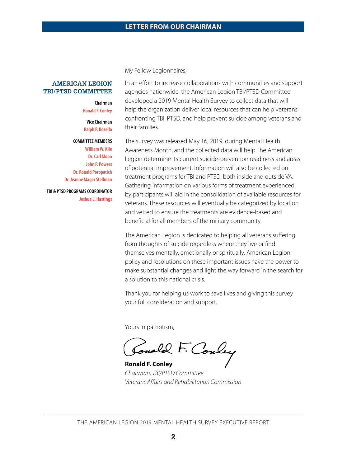#### **AMERICAN LEGION TBI/PTSD COMMITTEE**

#### **Chairman Ronald F. Conley**

**Vice Chairman Ralph P. Bozella**

#### **COMMITTEE MEMBERS**

**William W. Kile Dr. Carl Moon John P. Powers Dr. Ronald Poropatich Dr. Jeanne Mager Stellman**

**TBI & PTSD PROGRAMS COORDINATOR Joshua L. Hastings**  My Fellow Legionnaires,

In an effort to increase collaborations with communities and support agencies nationwide, the American Legion TBI/PTSD Committee developed a 2019 Mental Health Survey to collect data that will help the organization deliver local resources that can help veterans confronting TBI, PTSD, and help prevent suicide among veterans and their families.

The survey was released May 16, 2019, during Mental Health Awareness Month, and the collected data will help The American Legion determine its current suicide-prevention readiness and areas of potential improvement. Information will also be collected on treatment programs for TBI and PTSD, both inside and outside VA. Gathering information on various forms of treatment experienced by participants will aid in the consolidation of available resources for veterans. These resources will eventually be categorized by location and vetted to ensure the treatments are evidence-based and beneficial for all members of the military community.

The American Legion is dedicated to helping all veterans suffering from thoughts of suicide regardless where they live or find themselves mentally, emotionally or spiritually. American Legion policy and resolutions on these important issues have the power to make substantial changes and light the way forward in the search for a solution to this national crisis.

Thank you for helping us work to save lives and giving this survey your full consideration and support.

Yours in patriotism,

Jonald F. Couley ĺ

**Ronald F. Conley** *Chairman, TBI/PTSD Committee Veterans Affairs and Rehabilitation Commission*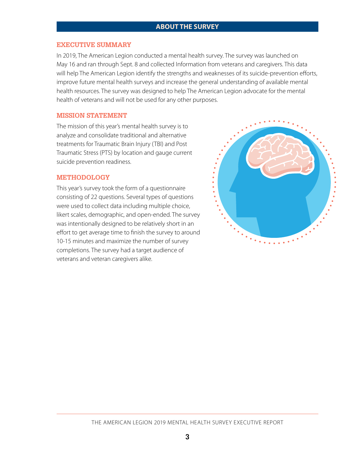## **ABOUT THE SURVEY**

#### **EXECUTIVE SUMMARY**

In 2019, The American Legion conducted a mental health survey. The survey was launched on May 16 and ran through Sept. 8 and collected Information from veterans and caregivers. This data will help The American Legion identify the strengths and weaknesses of its suicide-prevention efforts, improve future mental health surveys and increase the general understanding of available mental health resources. The survey was designed to help The American Legion advocate for the mental health of veterans and will not be used for any other purposes.

#### **MISSION STATEMENT**

The mission of this year's mental health survey is to analyze and consolidate traditional and alternative treatments for Traumatic Brain Injury (TBI) and Post Traumatic Stress (PTS) by location and gauge current suicide prevention readiness.

#### **METHODOLOGY**

This year's survey took the form of a questionnaire consisting of 22 questions. Several types of questions were used to collect data including multiple choice, likert scales, demographic, and open-ended. The survey was intentionally designed to be relatively short in an effort to get average time to finish the survey to around 10-15 minutes and maximize the number of survey completions. The survey had a target audience of veterans and veteran caregivers alike.

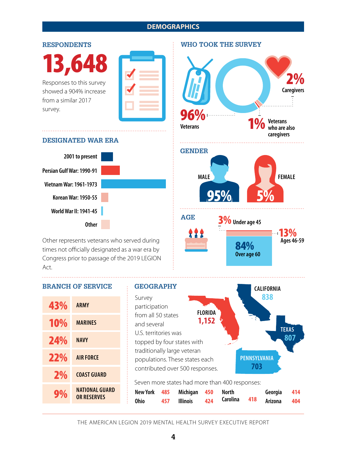## **DEMOGRAPHICS**

#### **RESPONDENTS**

13,648

Responses to this survey showed a 904% increase from a similar 2017 survey.

|  | $\mathcal{L}^{\text{max}}_{\text{max}}$ and $\mathcal{L}^{\text{max}}_{\text{max}}$ and $\mathcal{L}^{\text{max}}_{\text{max}}$                                                                                                  |  |
|--|----------------------------------------------------------------------------------------------------------------------------------------------------------------------------------------------------------------------------------|--|
|  |                                                                                                                                                                                                                                  |  |
|  |                                                                                                                                                                                                                                  |  |
|  | and the state of the state of the state of the state of the state of the state of the state of the state of th<br>and the state of the state of the state of the state of the state of the state of the state of the state of th |  |

#### **DESIGNATED WAR ERA**



Other represents veterans who served during times not officially designated as a war era by Congress prior to passage of the 2019 LEGION Act.

## **BRANCH OF SERVICE GEOGRAPHY**

| 43%        | <b>ARMY</b>                          |  |
|------------|--------------------------------------|--|
| <b>10%</b> | <b>MARINES</b>                       |  |
| 24%        | <b>NAVY</b>                          |  |
| 22%        | <b>AIR FORCE</b>                     |  |
| 2%         | <b>COAST GUARD</b>                   |  |
| 9%         | NATIONAL GUARD<br><b>OR RESERVES</b> |  |



THE AMERICAN LEGION 2019 MENTAL HEALTH SURVEY EXECUTIVE REPORT

**WHO TOOK THE SURVEY**

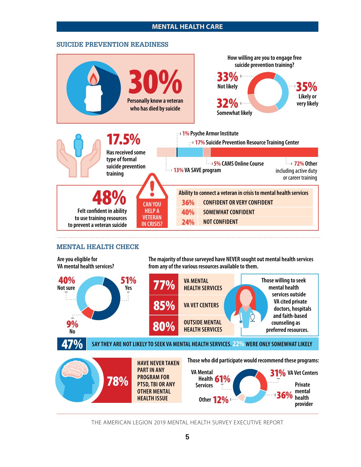## **MENTAL HEALTH CARE**

#### **SUICIDE PREVENTION READINESS**



#### **MENTAL HEALTH CHECK**

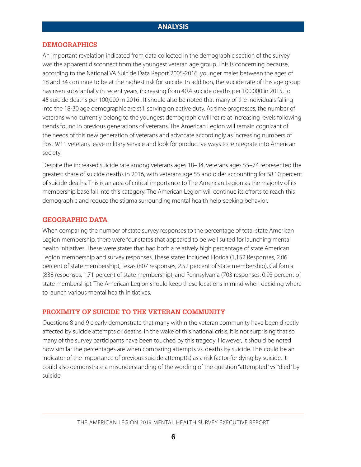#### **DEMOGRAPHICS**

An important revelation indicated from data collected in the demographic section of the survey was the apparent disconnect from the youngest veteran age group. This is concerning because, according to the National VA Suicide Data Report 2005-2016, younger males between the ages of 18 and 34 continue to be at the highest risk for suicide. In addition, the suicide rate of this age group has risen substantially in recent years, increasing from 40.4 suicide deaths per 100,000 in 2015, to 45 suicide deaths per 100,000 in 2016 . It should also be noted that many of the individuals falling into the 18-30 age demographic are still serving on active duty. As time progresses, the number of veterans who currently belong to the youngest demographic will retire at increasing levels following trends found in previous generations of veterans. The American Legion will remain cognizant of the needs of this new generation of veterans and advocate accordingly as increasing numbers of Post 9/11 veterans leave military service and look for productive ways to reintegrate into American society.

Despite the increased suicide rate among veterans ages 18–34, veterans ages 55–74 represented the greatest share of suicide deaths in 2016, with veterans age 55 and older accounting for 58.10 percent of suicide deaths. This is an area of critical importance to The American Legion as the majority of its membership base fall into this category. The American Legion will continue its efforts to reach this demographic and reduce the stigma surrounding mental health help-seeking behavior.

## **GEOGRAPHIC DATA**

When comparing the number of state survey responses to the percentage of total state American Legion membership, there were four states that appeared to be well suited for launching mental health initiatives. These were states that had both a relatively high percentage of state American Legion membership and survey responses. These states included Florida (1,152 Responses, 2.06 percent of state membership), Texas (807 responses, 2.52 percent of state membership), California (838 responses, 1.71 percent of state membership), and Pennsylvania (703 responses, 0.93 percent of state membership). The American Legion should keep these locations in mind when deciding where to launch various mental health initiatives.

## **PROXIMITY OF SUICIDE TO THE VETERAN COMMUNITY**

Questions 8 and 9 clearly demonstrate that many within the veteran community have been directly affected by suicide attempts or deaths. In the wake of this national crisis, it is not surprising that so many of the survey participants have been touched by this tragedy. However, It should be noted how similar the percentages are when comparing attempts vs. deaths by suicide. This could be an indicator of the importance of previous suicide attempt(s) as a risk factor for dying by suicide. It could also demonstrate a misunderstanding of the wording of the question "attempted" vs. "died" by suicide.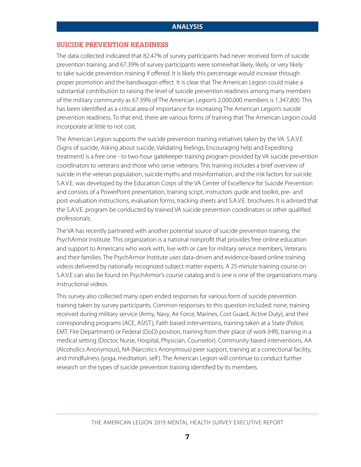## **SUICIDE PREVENTION READINESS**

The data collected indicated that 82.47% of survey participants had never received form of suicide prevention training, and 67.39% of survey participants were somewhat likely, likely, or very likely to take suicide prevention training if offered. It is likely this percentage would increase through proper promotion and the bandwagon effect. It is clear that The American Legion could make a substantial contribution to raising the level of suicide prevention readiness among many members of the military community as 67.39% of The American Legion's 2,000,000 members is 1,347,800. This has been identified as a critical area of importance for increasing The American Legion's suicide prevention readiness. To that end, there are various forms of training that The American Legion could incorporate at little to not cost.

The American Legion supports the suicide prevention training initiatives taken by the VA. S.A.V.E (Signs of suicide, Asking about suicide, Validating feelings, Encouraging help and Expediting treatment) is a free one - to two-hour gatekeeper training program provided by VA suicide prevention coordinators to veterans and those who serve veterans. This training includes a brief overview of suicide in the veteran population, suicide myths and misinformation, and the risk factors for suicide. S.A.V.E. was developed by the Education Corps of the VA Center of Excellence for Suicide Prevention and consists of a PowerPoint presentation, training script, instructors guide and toolkit, pre- and post-evaluation instructions, evaluation forms, tracking sheets and S.A.V.E. brochures. It is advised that the S.A.V.E. program be conducted by trained VA suicide prevention coordinators or other qualified professionals.

The VA has recently partnered with another potential source of suicide prevention training, the PsychArmor Institute. This organization is a national nonprofit that provides free online education and support to Americans who work with, live with or care for military service members, Veterans and their families. The PsychArmor Institute uses data-driven and evidence-based online training videos delivered by nationally recognized subject matter experts. A 25-minute training course on S.A.V.E can also be found on PsychArmor's course catalog and is one is one of the organizations many instructional videos.

This survey also collected many open ended responses for various form of suicide prevention training taken by survey participants. Common responses to this question included: none, training received during military service (Army, Navy, Air Force, Marines, Cost Guard, Active Duty), and their corresponding programs (ACE, ASIST), Faith based interventions, training taken at a State (Police, EMT, Fire Department) or Federal (DoD) position, training from their place of work (HR), training in a medical setting (Doctor, Nurse, Hospital, Physician, Counselor), Community based interventions, AA (Alcoholics Anonymous), NA (Narcotics Anonymous) peer support, training at a correctional facility, and mindfulness (yoga, meditation, self ). The American Legion will continue to conduct further research on the types of suicide prevention training identified by its members.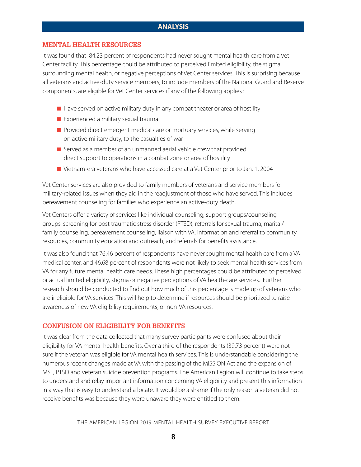## **ANALYSIS**

#### **MENTAL HEALTH RESOURCES**

It was found that 84.23 percent of respondents had never sought mental health care from a Vet Center facility. This percentage could be attributed to perceived limited eligibility, the stigma surrounding mental health, or negative perceptions of Vet Center services. This is surprising because all veterans and active-duty service members, to include members of the National Guard and Reserve components, are eligible for Vet Center services if any of the following applies :

- $\blacksquare$  Have served on active military duty in any combat theater or area of hostility
- Experienced a military sexual trauma
- **Provided direct emergent medical care or mortuary services, while serving** on active military duty, to the casualties of war
- Served as a member of an unmanned aerial vehicle crew that provided direct support to operations in a combat zone or area of hostility
- Vietnam-era veterans who have accessed care at a Vet Center prior to Jan. 1, 2004

Vet Center services are also provided to family members of veterans and service members for military-related issues when they aid in the readjustment of those who have served. This includes bereavement counseling for families who experience an active-duty death.

Vet Centers offer a variety of services like individual counseling, support groups/counseling groups, screening for post traumatic stress disorder (PTSD), referrals for sexual trauma, marital/ family counseling, bereavement counseling, liaison with VA, information and referral to community resources, community education and outreach, and referrals for benefits assistance.

It was also found that 76.46 percent of respondents have never sought mental health care from a VA medical center, and 46.68 percent of respondents were not likely to seek mental health services from VA for any future mental health care needs. These high percentages could be attributed to perceived or actual limited eligibility, stigma or negative perceptions of VA health-care services. Further research should be conducted to find out how much of this percentage is made up of veterans who are ineligible for VA services. This will help to determine if resources should be prioritized to raise awareness of new VA eligibility requirements, or non-VA resources.

#### **CONFUSION ON ELIGIBILITY FOR BENEFITS**

It was clear from the data collected that many survey participants were confused about their eligibility for VA mental health benefits. Over a third of the respondents (39.73 percent) were not sure if the veteran was eligible for VA mental health services. This is understandable considering the numerous recent changes made at VA with the passing of the MISSION Act and the expansion of MST, PTSD and veteran suicide prevention programs. The American Legion will continue to take steps to understand and relay important information concerning VA eligibility and present this information in a way that is easy to understand a locate. It would be a shame if the only reason a veteran did not receive benefits was because they were unaware they were entitled to them.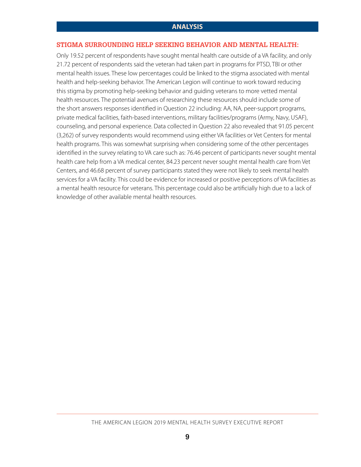## **STIGMA SURROUNDING HELP SEEKING BEHAVIOR AND MENTAL HEALTH:**

Only 19.52 percent of respondents have sought mental health care outside of a VA facility, and only 21.72 percent of respondents said the veteran had taken part in programs for PTSD, TBI or other mental health issues. These low percentages could be linked to the stigma associated with mental health and help-seeking behavior. The American Legion will continue to work toward reducing this stigma by promoting help-seeking behavior and guiding veterans to more vetted mental health resources. The potential avenues of researching these resources should include some of the short answers responses identified in Question 22 including: AA, NA, peer-support programs, private medical facilities, faith-based interventions, military facilities/programs (Army, Navy, USAF), counseling, and personal experience. Data collected in Question 22 also revealed that 91.05 percent (3,262) of survey respondents would recommend using either VA facilities or Vet Centers for mental health programs. This was somewhat surprising when considering some of the other percentages identified in the survey relating to VA care such as: 76.46 percent of participants never sought mental health care help from a VA medical center, 84.23 percent never sought mental health care from Vet Centers, and 46.68 percent of survey participants stated they were not likely to seek mental health services for a VA facility. This could be evidence for increased or positive perceptions of VA facilities as a mental health resource for veterans. This percentage could also be artificially high due to a lack of knowledge of other available mental health resources.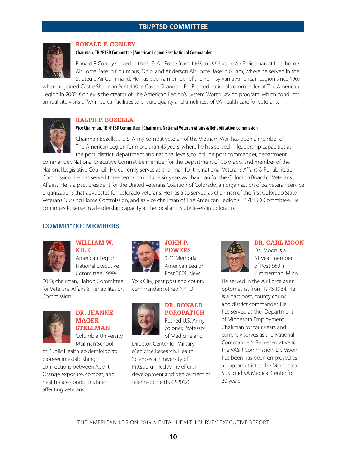## **TBI/PTSD COMMITTEE**



#### **RONALD F. CONLEY**

#### **Chairman, TBI/PTSD Committee | American Legion Past National Commander**

Ronald F. Conley served in the U.S. Air Force from 1963 to 1966 as an Air Policeman at Lockborne Air Force Base in Columbus, Ohio, and Anderson Air Force Base in Guam, where he served in the Strategic Air Command. He has been a member of the Pennsylvania American Legion since 1967

when he joined Castle Shannon Post 490 in Castle Shannon, Pa. Elected national commander of The American Legion in 2002, Conley is the creator of The American Legion's System Worth Saving program, which conducts annual site visits of VA medical facilities to ensure quality and timeliness of VA health care for veterans.

#### **RALPH P. BOZELLA**

#### **Vice Chairman, TBI/PTSD Committee | Chairman, National Veteran Affairs & Rehabilitation Commission**

Chairman Bozella, a U.S. Army combat veteran of the Vietnam War, has been a member of The American Legion for more than 45 years, where he has served in leadership capacities at the post, district, department and national levels, to include post commander, department

commander, National Executive Committee member for the Department of Colorado, and member of the National Legislative Council. He currently serves as chairman for the national Veterans Affairs & Rehabilitation Commission. He has served three terms, to include six years as chairman for the Colorado Board of Veterans Affairs. He is a past president for the United Veterans Coalition of Colorado, an organization of 52 veteran service organizations that advocates for Colorado veterans. He has also served as chairman of the first Colorado State Veterans Nursing Home Commission, and as vice chairman of The American Legion's TBI/PTSD Committee. He continues to serve in a leadership capacity at the local and state levels in Colorado.

#### **COMMITTEE MEMBERS**



#### **WILLIAM W. KILE**

American Legion National Executive Committee 1999-

2013; chairman, Liaison Committee for Veterans Affairs & Rehabilitation Commission



## **DR. JEANNE MAGER STELLMAN** Columbia University

Mailman School of Public Health epidemiologist; pioneer in establishing connections between Agent Orange exposure, combat, and health-care conditions later affecting veterans



# **JOHN P.**

**POWERS**  9-11 Memorial American Legion Post 2001, New York City; past post and county

commander; retired NYPD



# **DR. RONALD POROPATICH**

Retired U.S. Army colonel; Professor of Medicine and

Director, Center for Military Medicine Research, Health Sciences at University of Pittsburgh; led Army effort in development and deployment of telemedicine (1992-2012)



#### **DR. CARL MOON**

Dr. Moon is a 31-year member of Post 560 in Zimmerman, Minn.

He served in the Air Force as an optometrist from 1976-1984. He is a past post, county council and district commander. He has served as the Department of Minnesota Employment Chairman for four years and currently serves as the National Commander's Representative to the VA&R Commission. Dr. Moon has been has been employed as an optometrist at the Minnesota St. Cloud VA Medical Center for 20 years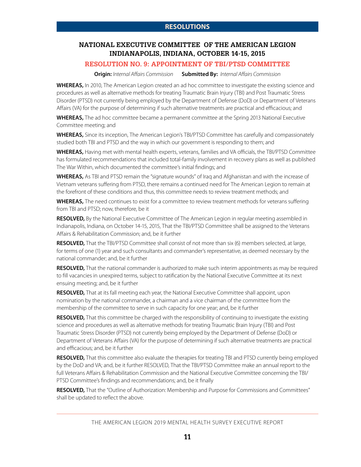## **NATIONAL EXECUTIVE COMMITTEE OF THE AMERICAN LEGION INDIANAPOLIS, INDIANA, OCTOBER 14-15, 2015**

## **RESOLUTION NO. 9: APPOINTMENT OF TBI/PTSD COMMITTEE**

**Origin:** *Internal Affairs Commission* **Submitted By:** *Internal Affairs Commission* 

**WHEREAS,** In 2010, The American Legion created an ad hoc committee to investigate the existing science and procedures as well as alternative methods for treating Traumatic Brain Injury (TBI) and Post Traumatic Stress Disorder (PTSD) not currently being employed by the Department of Defense (DoD) or Department of Veterans Affairs (VA) for the purpose of determining if such alternative treatments are practical and efficacious; and

**WHEREAS,** The ad hoc committee became a permanent committee at the Spring 2013 National Executive Committee meeting; and

**WHEREAS,** Since its inception, The American Legion's TBI/PTSD Committee has carefully and compassionately studied both TBI and PTSD and the way in which our government is responding to them; and

**WHEREAS,** Having met with mental health experts, veterans, families and VA officials, the TBI/PTSD Committee has formulated recommendations that included total-family involvement in recovery plans as well as published The War Within, which documented the committee's initial findings; and

**WHEREAS,** As TBI and PTSD remain the "signature wounds" of Iraq and Afghanistan and with the increase of Vietnam veterans suffering from PTSD, there remains a continued need for The American Legion to remain at the forefront of these conditions and thus, this committee needs to review treatment methods; and

**WHEREAS,** The need continues to exist for a committee to review treatment methods for veterans suffering from TBI and PTSD; now, therefore, be it

**RESOLVED,** By the National Executive Committee of The American Legion in regular meeting assembled in Indianapolis, Indiana, on October 14-15, 2015, That the TBI/PTSD Committee shall be assigned to the Veterans Affairs & Rehabilitation Commission; and, be it further

**RESOLVED,** That the TBI/PTSD Committee shall consist of not more than six (6) members selected, at large, for terms of one (1) year and such consultants and commander's representative, as deemed necessary by the national commander; and, be it further

**RESOLVED,** That the national commander is authorized to make such interim appointments as may be required to fill vacancies in unexpired terms, subject to ratification by the National Executive Committee at its next ensuing meeting; and, be it further

**RESOLVED,** That at its fall meeting each year, the National Executive Committee shall appoint, upon nomination by the national commander, a chairman and a vice chairman of the committee from the membership of the committee to serve in such capacity for one year; and, be it further

**RESOLVED,** That this committee be charged with the responsibility of continuing to investigate the existing science and procedures as well as alternative methods for treating Traumatic Brain Injury (TBI) and Post Traumatic Stress Disorder (PTSD) not currently being employed by the Department of Defense (DoD) or Department of Veterans Affairs (VA) for the purpose of determining if such alternative treatments are practical and efficacious; and, be it further

**RESOLVED,** That this committee also evaluate the therapies for treating TBI and PTSD currently being employed by the DoD and VA; and, be it further RESOLVED, That the TBI/PTSD Committee make an annual report to the full Veterans Affairs & Rehabilitation Commission and the National Executive Committee concerning the TBI/ PTSD Committee's findings and recommendations; and, be it finally

**RESOLVED,** That the "Outline of Authorization: Membership and Purpose for Commissions and Committees" shall be updated to reflect the above.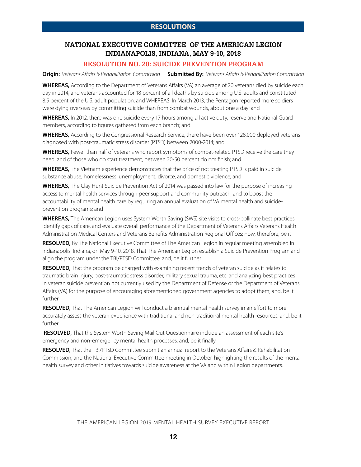## **NATIONAL EXECUTIVE COMMITTEE OF THE AMERICAN LEGION INDIANAPOLIS, INDIANA, MAY 9-10, 2018**

## **RESOLUTION NO. 20: SUICIDE PREVENTION PROGRAM**

**Origin:** *Veterans Affairs & Rehabilitation Commission* **Submitted By:** *Veterans Affairs & Rehabilitation Commission* 

**WHEREAS,** According to the Department of Veterans Affairs (VA) an average of 20 veterans died by suicide each day in 2014, and veterans accounted for 18 percent of all deaths by suicide among U.S. adults and constituted 8.5 percent of the U.S. adult population; and WHEREAS, In March 2013, the Pentagon reported more soldiers were dying overseas by committing suicide than from combat wounds, about one a day; and

WHEREAS, In 2012, there was one suicide every 17 hours among all active duty, reserve and National Guard members, according to figures gathered from each branch; and

**WHEREAS,** According to the Congressional Research Service, there have been over 128,000 deployed veterans diagnosed with post-traumatic stress disorder (PTSD) between 2000-2014; and

**WHEREAS,** Fewer than half of veterans who report symptoms of combat-related PTSD receive the care they need, and of those who do start treatment, between 20-50 percent do not finish; and

**WHEREAS,** The Vietnam experience demonstrates that the price of not treating PTSD is paid in suicide, substance abuse, homelessness, unemployment, divorce, and domestic violence; and

**WHEREAS,** The Clay Hunt Suicide Prevention Act of 2014 was passed into law for the purpose of increasing access to mental health services through peer support and community outreach, and to boost the accountability of mental health care by requiring an annual evaluation of VA mental health and suicideprevention programs; and

**WHEREAS,** The American Legion uses System Worth Saving (SWS) site visits to cross-pollinate best practices, identify gaps of care, and evaluate overall performance of the Department of Veterans Affairs Veterans Health Administration Medical Centers and Veterans Benefits Administration Regional Offices; now, therefore, be it

**RESOLVED,** By The National Executive Committee of The American Legion in regular meeting assembled in Indianapolis, Indiana, on May 9-10, 2018, That The American Legion establish a Suicide Prevention Program and align the program under the TBI/PTSD Committee; and, be it further

**RESOLVED,** That the program be charged with examining recent trends of veteran suicide as it relates to traumatic brain injury, post-traumatic stress disorder, military sexual trauma, etc. and analyzing best practices in veteran suicide prevention not currently used by the Department of Defense or the Department of Veterans Affairs (VA) for the purpose of encouraging aforementioned government agencies to adopt them; and, be it further

**RESOLVED,** That The American Legion will conduct a biannual mental health survey in an effort to more accurately assess the veteran experience with traditional and non-traditional mental health resources; and, be it further

**RESOLVED,** That the System Worth Saving Mail Out Questionnaire include an assessment of each site's emergency and non-emergency mental health processes; and, be it finally

**RESOLVED,** That the TBI/PTSD Committee submit an annual report to the Veterans Affairs & Rehabilitation Commission, and the National Executive Committee meeting in October, highlighting the results of the mental health survey and other initiatives towards suicide awareness at the VA and within Legion departments.